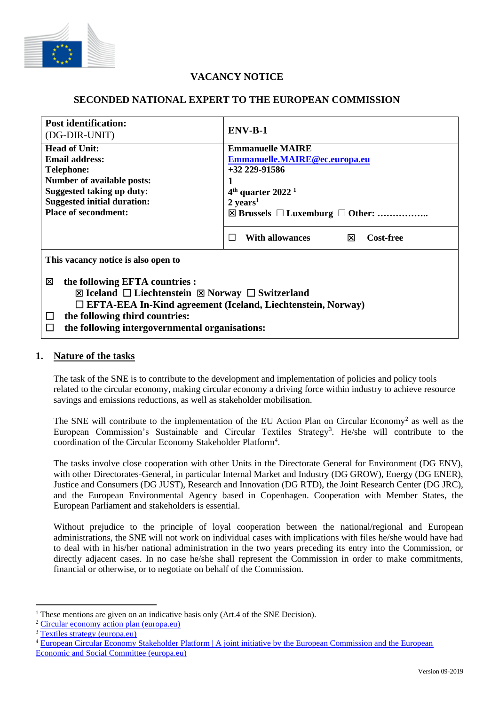

# **VACANCY NOTICE**

# **SECONDED NATIONAL EXPERT TO THE EUROPEAN COMMISSION**

| <b>Post identification:</b><br>(DG-DIR-UNIT)                                                                                                                                                                                                                                    | $ENV-B-1$                                                                                                                        |
|---------------------------------------------------------------------------------------------------------------------------------------------------------------------------------------------------------------------------------------------------------------------------------|----------------------------------------------------------------------------------------------------------------------------------|
| <b>Head of Unit:</b><br><b>Email address:</b>                                                                                                                                                                                                                                   | <b>Emmanuelle MAIRE</b><br>Emmanuelle.MAIRE@ec.europa.eu                                                                         |
| <b>Telephone:</b><br><b>Number of available posts:</b><br>Suggested taking up duty:<br><b>Suggested initial duration:</b><br><b>Place of secondment:</b>                                                                                                                        | $+32$ 229-91586<br>$4th$ quarter 2022 <sup>1</sup><br>$2 \text{ years}^1$<br>$\boxtimes$ Brussels $\Box$ Luxemburg $\Box$ Other: |
|                                                                                                                                                                                                                                                                                 | <b>With allowances</b><br><b>Cost-free</b><br>⊠<br>П                                                                             |
| This vacancy notice is also open to                                                                                                                                                                                                                                             |                                                                                                                                  |
| the following EFTA countries :<br>⊠<br>⊠ Iceland $\Box$ Liechtenstein $\boxtimes$ Norway $\Box$ Switzerland<br>$\Box$ EFTA-EEA In-Kind agreement (Iceland, Liechtenstein, Norway)<br>the following third countries:<br>ப<br>the following intergovernmental organisations:<br>Ħ |                                                                                                                                  |

# **1. Nature of the tasks**

The task of the SNE is to contribute to the development and implementation of policies and policy tools related to the circular economy, making circular economy a driving force within industry to achieve resource savings and emissions reductions, as well as stakeholder mobilisation.

The SNE will contribute to the implementation of the EU Action Plan on Circular Economy<sup>2</sup> as well as the European Commission's Sustainable and Circular Textiles Strategy<sup>3</sup>. He/she will contribute to the coordination of the Circular Economy Stakeholder Platform<sup>4</sup>.

The tasks involve close cooperation with other Units in the Directorate General for Environment (DG ENV), with other Directorates-General, in particular Internal Market and Industry (DG GROW), Energy (DG ENER), Justice and Consumers (DG JUST), Research and Innovation (DG RTD), the Joint Research Center (DG JRC), and the European Environmental Agency based in Copenhagen. Cooperation with Member States, the European Parliament and stakeholders is essential.

Without prejudice to the principle of loyal cooperation between the national/regional and European administrations, the SNE will not work on individual cases with implications with files he/she would have had to deal with in his/her national administration in the two years preceding its entry into the Commission, or directly adjacent cases. In no case he/she shall represent the Commission in order to make commitments, financial or otherwise, or to negotiate on behalf of the Commission.

<sup>&</sup>lt;sup>1</sup> These mentions are given on an indicative basis only (Art.4 of the SNE Decision).

<sup>2</sup> [Circular economy action plan \(europa.eu\)](https://ec.europa.eu/environment/strategy/circular-economy-action-plan_en)

<sup>3</sup> [Textiles strategy \(europa.eu\)](https://ec.europa.eu/environment/strategy/textiles-strategy_en)

<sup>&</sup>lt;sup>4</sup> European Circular Economy Stakeholder Platform | A joint initiative by the European Commission and the European [Economic and Social Committee \(europa.eu\)](https://circulareconomy.europa.eu/platform/)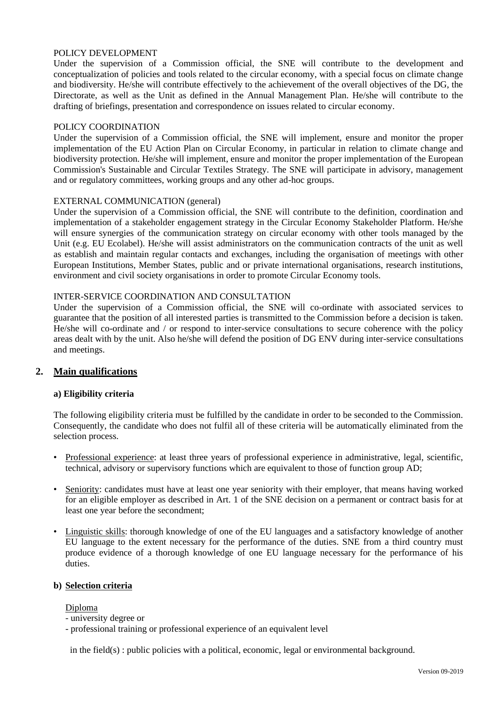#### POLICY DEVELOPMENT

Under the supervision of a Commission official, the SNE will contribute to the development and conceptualization of policies and tools related to the circular economy, with a special focus on climate change and biodiversity. He/she will contribute effectively to the achievement of the overall objectives of the DG, the Directorate, as well as the Unit as defined in the Annual Management Plan. He/she will contribute to the drafting of briefings, presentation and correspondence on issues related to circular economy.

#### POLICY COORDINATION

Under the supervision of a Commission official, the SNE will implement, ensure and monitor the proper implementation of the EU Action Plan on Circular Economy, in particular in relation to climate change and biodiversity protection. He/she will implement, ensure and monitor the proper implementation of the European Commission's Sustainable and Circular Textiles Strategy. The SNE will participate in advisory, management and or regulatory committees, working groups and any other ad-hoc groups.

#### EXTERNAL COMMUNICATION (general)

Under the supervision of a Commission official, the SNE will contribute to the definition, coordination and implementation of a stakeholder engagement strategy in the Circular Economy Stakeholder Platform. He/she will ensure synergies of the communication strategy on circular economy with other tools managed by the Unit (e.g. EU Ecolabel). He/she will assist administrators on the communication contracts of the unit as well as establish and maintain regular contacts and exchanges, including the organisation of meetings with other European Institutions, Member States, public and or private international organisations, research institutions, environment and civil society organisations in order to promote Circular Economy tools.

#### INTER-SERVICE COORDINATION AND CONSULTATION

Under the supervision of a Commission official, the SNE will co-ordinate with associated services to guarantee that the position of all interested parties is transmitted to the Commission before a decision is taken. He/she will co-ordinate and / or respond to inter-service consultations to secure coherence with the policy areas dealt with by the unit. Also he/she will defend the position of DG ENV during inter-service consultations and meetings.

### **2. Main qualifications**

### **a) Eligibility criteria**

The following eligibility criteria must be fulfilled by the candidate in order to be seconded to the Commission. Consequently, the candidate who does not fulfil all of these criteria will be automatically eliminated from the selection process.

- Professional experience: at least three years of professional experience in administrative, legal, scientific, technical, advisory or supervisory functions which are equivalent to those of function group AD;
- Seniority: candidates must have at least one year seniority with their employer, that means having worked for an eligible employer as described in Art. 1 of the SNE decision on a permanent or contract basis for at least one year before the secondment;
- Linguistic skills: thorough knowledge of one of the EU languages and a satisfactory knowledge of another EU language to the extent necessary for the performance of the duties. SNE from a third country must produce evidence of a thorough knowledge of one EU language necessary for the performance of his duties.

#### **b) Selection criteria**

Diploma

- university degree or
- professional training or professional experience of an equivalent level

in the field(s) : public policies with a political, economic, legal or environmental background.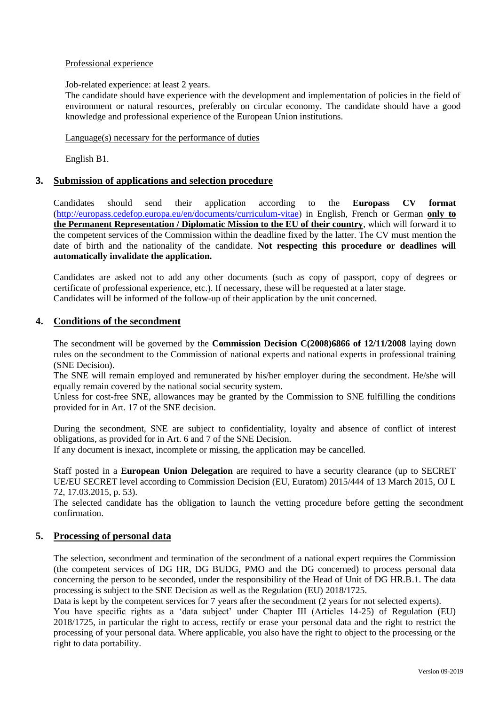# Professional experience

### Job-related experience: at least 2 years.

The candidate should have experience with the development and implementation of policies in the field of environment or natural resources, preferably on circular economy. The candidate should have a good knowledge and professional experience of the European Union institutions.

# Language(s) necessary for the performance of duties

English B1.

# **3. Submission of applications and selection procedure**

Candidates should send their application according to the **Europass CV format**  [\(http://europass.cedefop.europa.eu/en/documents/curriculum-vitae\)](http://europass.cedefop.europa.eu/en/documents/curriculum-vitae) in English, French or German **only to the Permanent Representation / Diplomatic Mission to the EU of their country**, which will forward it to the competent services of the Commission within the deadline fixed by the latter. The CV must mention the date of birth and the nationality of the candidate. **Not respecting this procedure or deadlines will automatically invalidate the application.**

Candidates are asked not to add any other documents (such as copy of passport, copy of degrees or certificate of professional experience, etc.). If necessary, these will be requested at a later stage. Candidates will be informed of the follow-up of their application by the unit concerned.

# **4. Conditions of the secondment**

The secondment will be governed by the **Commission Decision C(2008)6866 of 12/11/2008** laying down rules on the secondment to the Commission of national experts and national experts in professional training (SNE Decision).

The SNE will remain employed and remunerated by his/her employer during the secondment. He/she will equally remain covered by the national social security system.

Unless for cost-free SNE, allowances may be granted by the Commission to SNE fulfilling the conditions provided for in Art. 17 of the SNE decision.

During the secondment, SNE are subject to confidentiality, loyalty and absence of conflict of interest obligations, as provided for in Art. 6 and 7 of the SNE Decision.

If any document is inexact, incomplete or missing, the application may be cancelled.

Staff posted in a **European Union Delegation** are required to have a security clearance (up to SECRET UE/EU SECRET level according to Commission Decision (EU, Euratom) 2015/444 of 13 March 2015, OJ L 72, 17.03.2015, p. 53).

The selected candidate has the obligation to launch the vetting procedure before getting the secondment confirmation.

# **5. Processing of personal data**

The selection, secondment and termination of the secondment of a national expert requires the Commission (the competent services of DG HR, DG BUDG, PMO and the DG concerned) to process personal data concerning the person to be seconded, under the responsibility of the Head of Unit of DG HR.B.1. The data processing is subject to the SNE Decision as well as the Regulation (EU) 2018/1725.

Data is kept by the competent services for 7 years after the secondment (2 years for not selected experts). You have specific rights as a 'data subject' under Chapter III (Articles 14-25) of Regulation (EU) 2018/1725, in particular the right to access, rectify or erase your personal data and the right to restrict the processing of your personal data. Where applicable, you also have the right to object to the processing or the right to data portability.